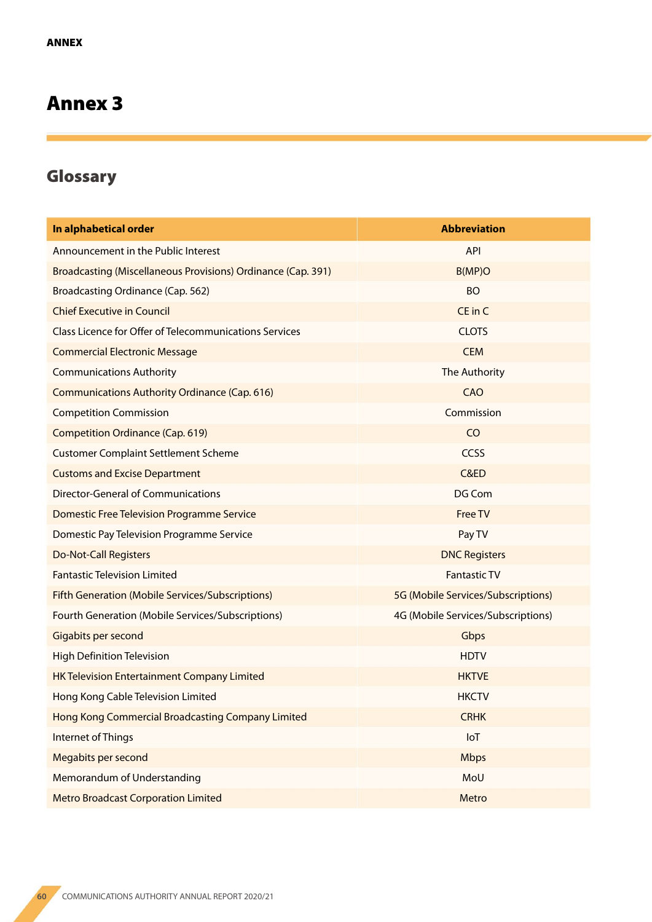## Annex 3

## Glossary

| In alphabetical order                                               | <b>Abbreviation</b>                |
|---------------------------------------------------------------------|------------------------------------|
| Announcement in the Public Interest                                 | <b>API</b>                         |
| <b>Broadcasting (Miscellaneous Provisions) Ordinance (Cap. 391)</b> | B(MP)O                             |
| Broadcasting Ordinance (Cap. 562)                                   | <b>BO</b>                          |
| <b>Chief Executive in Council</b>                                   | CE in C                            |
| <b>Class Licence for Offer of Telecommunications Services</b>       | <b>CLOTS</b>                       |
| <b>Commercial Electronic Message</b>                                | <b>CEM</b>                         |
| <b>Communications Authority</b>                                     | The Authority                      |
| <b>Communications Authority Ordinance (Cap. 616)</b>                | <b>CAO</b>                         |
| <b>Competition Commission</b>                                       | Commission                         |
| <b>Competition Ordinance (Cap. 619)</b>                             | C <sub>O</sub>                     |
| <b>Customer Complaint Settlement Scheme</b>                         | CCSS                               |
| <b>Customs and Excise Department</b>                                | C&ED                               |
| <b>Director-General of Communications</b>                           | <b>DG Com</b>                      |
| <b>Domestic Free Television Programme Service</b>                   | <b>Free TV</b>                     |
| Domestic Pay Television Programme Service                           | Pay TV                             |
| <b>Do-Not-Call Registers</b>                                        | <b>DNC Registers</b>               |
| <b>Fantastic Television Limited</b>                                 | <b>Fantastic TV</b>                |
| <b>Fifth Generation (Mobile Services/Subscriptions)</b>             | 5G (Mobile Services/Subscriptions) |
| Fourth Generation (Mobile Services/Subscriptions)                   | 4G (Mobile Services/Subscriptions) |
| Gigabits per second                                                 | Gbps                               |
| <b>High Definition Television</b>                                   | <b>HDTV</b>                        |
| <b>HK Television Entertainment Company Limited</b>                  | <b>HKTVE</b>                       |
| Hong Kong Cable Television Limited                                  | <b>HKCTV</b>                       |
| Hong Kong Commercial Broadcasting Company Limited                   | <b>CRHK</b>                        |
| Internet of Things                                                  | IoT                                |
| Megabits per second                                                 | <b>Mbps</b>                        |
| Memorandum of Understanding                                         | MoU                                |
| <b>Metro Broadcast Corporation Limited</b>                          | Metro                              |